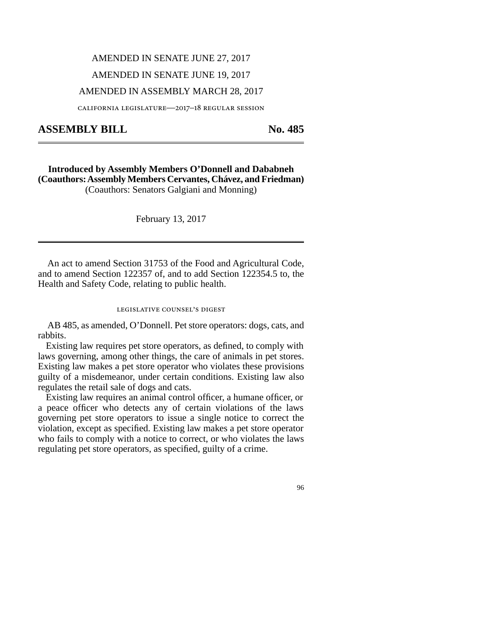## AMENDED IN SENATE JUNE 27, 2017

### AMENDED IN SENATE JUNE 19, 2017

## AMENDED IN ASSEMBLY MARCH 28, 2017

california legislature—2017–18 regular session

# ASSEMBLY BILL No. 485

**Introduced by Assembly Members O'Donnell and Dababneh (Coauthors: Assembly Members Cervantes, Chávez, and Friedman)** (Coauthors: Senators Galgiani and Monning)

February 13, 2017

An act to amend Section 31753 of the Food and Agricultural Code, and to amend Section 122357 of, and to add Section 122354.5 to, the Health and Safety Code, relating to public health.

#### legislative counsel's digest

AB 485, as amended, O'Donnell. Pet store operators: dogs, cats, and rabbits.

Existing law requires pet store operators, as defined, to comply with laws governing, among other things, the care of animals in pet stores. Existing law makes a pet store operator who violates these provisions guilty of a misdemeanor, under certain conditions. Existing law also regulates the retail sale of dogs and cats.

Existing law requires an animal control officer, a humane officer, or a peace officer who detects any of certain violations of the laws governing pet store operators to issue a single notice to correct the violation, except as specified. Existing law makes a pet store operator who fails to comply with a notice to correct, or who violates the laws regulating pet store operators, as specified, guilty of a crime.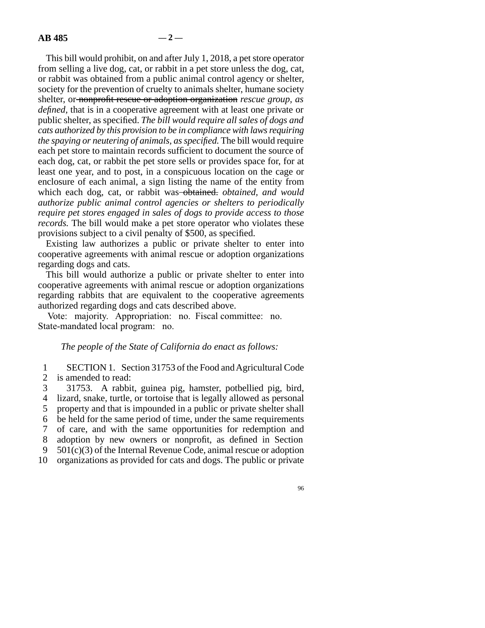This bill would prohibit, on and after July 1, 2018, a pet store operator from selling a live dog, cat, or rabbit in a pet store unless the dog, cat, or rabbit was obtained from a public animal control agency or shelter, society for the prevention of cruelty to animals shelter, humane society shelter, or nonprofit rescue or adoption organization *rescue group, as defined,* that is in a cooperative agreement with at least one private or public shelter, as specified. *The bill would require all sales of dogs and cats authorized by this provision to be in compliance with laws requiring the spaying or neutering of animals, as specified.* The bill would require each pet store to maintain records sufficient to document the source of each dog, cat, or rabbit the pet store sells or provides space for, for at least one year, and to post, in a conspicuous location on the cage or enclosure of each animal, a sign listing the name of the entity from which each dog, cat, or rabbit was obtained. *obtained, and would authorize public animal control agencies or shelters to periodically require pet stores engaged in sales of dogs to provide access to those records.* The bill would make a pet store operator who violates these provisions subject to a civil penalty of \$500, as specified.

Existing law authorizes a public or private shelter to enter into cooperative agreements with animal rescue or adoption organizations regarding dogs and cats.

This bill would authorize a public or private shelter to enter into cooperative agreements with animal rescue or adoption organizations regarding rabbits that are equivalent to the cooperative agreements authorized regarding dogs and cats described above.

Vote: majority. Appropriation: no. Fiscal committee: no. State-mandated local program: no.

### *The people of the State of California do enact as follows:*

1 SECTION 1. Section 31753 of the Food and Agricultural Code 2 is amended to read:

3 31753. A rabbit, guinea pig, hamster, potbellied pig, bird, 4 lizard, snake, turtle, or tortoise that is legally allowed as personal 5 property and that is impounded in a public or private shelter shall line 6 be held for the same period of time, under the same requirements line 7 of care, and with the same opportunities for redemption and 8 adoption by new owners or nonprofit, as defined in Section 9  $501(c)(3)$  of the Internal Revenue Code, animal rescue or adoption 10 organizations as provided for cats and dogs. The public or private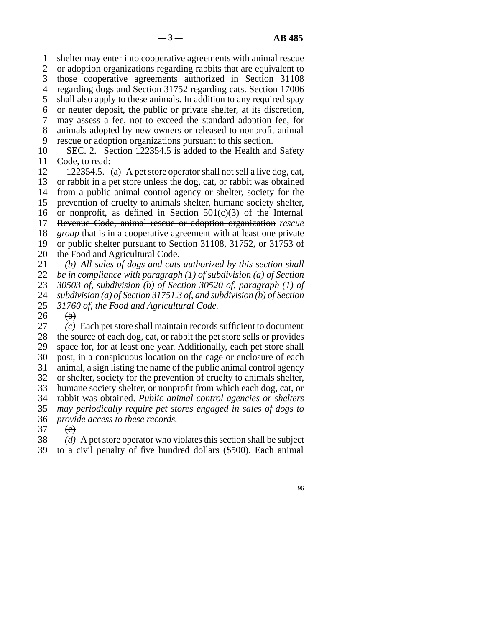1 shelter may enter into cooperative agreements with animal rescue 2 or adoption organizations regarding rabbits that are equivalent to 3 those cooperative agreements authorized in Section 31108 line 4 regarding dogs and Section 31752 regarding cats. Section 17006 5 shall also apply to these animals. In addition to any required spay line 6 or neuter deposit, the public or private shelter, at its discretion, line 7 may assess a fee, not to exceed the standard adoption fee, for 8 animals adopted by new owners or released to nonprofit animal 9 rescue or adoption organizations pursuant to this section. 10 SEC. 2. Section 122354.5 is added to the Health and Safety

11 Code, to read:

12 122354.5. (a) A pet store operator shall not sell a live dog, cat, 13 or rabbit in a pet store unless the dog, cat, or rabbit was obtained 14 from a public animal control agency or shelter, society for the 15 prevention of cruelty to animals shelter, humane society shelter, 16 or nonprofit, as defined in Section  $501(c)(3)$  of the Internal 17 Revenue Code, animal rescue or adoption organization *rescue* 18 *group* that is in a cooperative agreement with at least one private 19 or public shelter pursuant to Section 31108, 31752, or 31753 of 20 the Food and Agricultural Code. 21 (b) All sales of dogs and cats authorized by this section shall

*be in compliance with paragraph (1) of subdivision (a) of Section 30503 of, subdivision (b) of Section 30520 of, paragraph (1) of subdivision (a) of Section 31751.3 of, and subdivision (b) of Section*<br>25 31760 of, the Food and Agricultural Code. 31760 of, the Food and Agricultural Code.

 $\begin{matrix} 26 & 0 \\ 27 & 0 \end{matrix}$  $\delta(c)$  Each pet store shall maintain records sufficient to document 28 the source of each dog, cat, or rabbit the pet store sells or provides 29 space for, for at least one year. Additionally, each pet store shall 30 post, in a conspicuous location on the cage or enclosure of each 31 animal, a sign listing the name of the public animal control agency 32 or shelter, society for the prevention of cruelty to animals shelter, 33 humane society shelter, or nonprofit from which each dog, cat, or line 34 rabbit was obtained. *Public animal control agencies or shelters* line 35 *may periodically require pet stores engaged in sales of dogs to* 36 *provide access to these records.*  $37$  (e)

38 (d) A pet store operator who violates this section shall be subject

39 to a civil penalty of five hundred dollars (\$500). Each animal